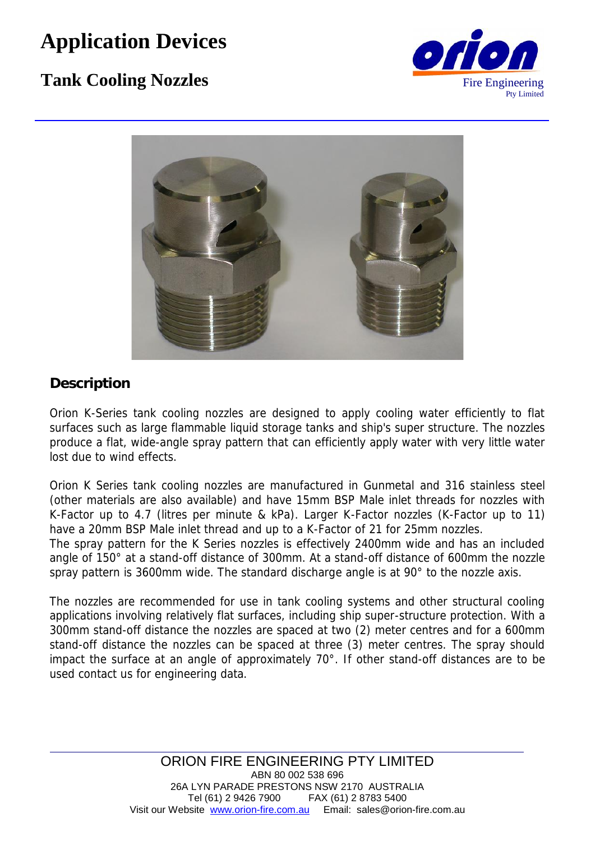# **Application Devices**

## **Tank Cooling Nozzles** Fire Engineering





## **Description**

Orion K-Series tank cooling nozzles are designed to apply cooling water efficiently to flat surfaces such as large flammable liquid storage tanks and ship's super structure. The nozzles produce a flat, wide-angle spray pattern that can efficiently apply water with very little water lost due to wind effects.

Orion K Series tank cooling nozzles are manufactured in Gunmetal and 316 stainless steel (other materials are also available) and have 15mm BSP Male inlet threads for nozzles with K-Factor up to 4.7 (litres per minute & kPa). Larger K-Factor nozzles (K-Factor up to 11) have a 20mm BSP Male inlet thread and up to a K-Factor of 21 for 25mm nozzles.

The spray pattern for the K Series nozzles is effectively 2400mm wide and has an included angle of 150° at a stand-off distance of 300mm. At a stand-off distance of 600mm the nozzle spray pattern is 3600mm wide. The standard discharge angle is at 90° to the nozzle axis.

The nozzles are recommended for use in tank cooling systems and other structural cooling applications involving relatively flat surfaces, including ship super-structure protection. With a 300mm stand-off distance the nozzles are spaced at two (2) meter centres and for a 600mm stand-off distance the nozzles can be spaced at three (3) meter centres. The spray should impact the surface at an angle of approximately 70°. If other stand-off distances are to be used contact us for engineering data.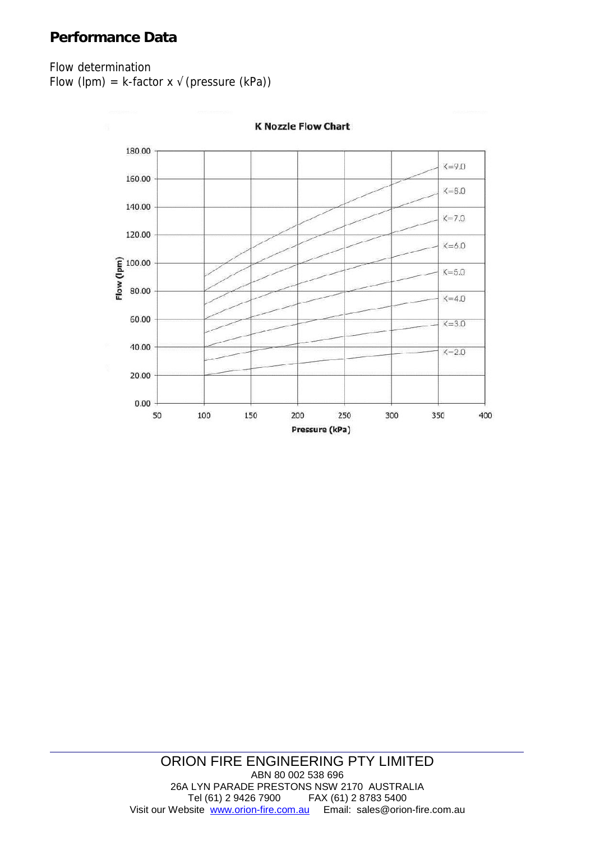### **Performance Data**

#### Flow determination

Flow (lpm) =  $k$ -factor x (pressure (kPa))



**K Nozzle Flow Chart** 

#### ORION FIRE ENGINEERING PTY LIMITED ABN 80 002 538 696 26A LYN PARADE PRESTONS NSW 2170 AUSTRALIA<br>Tel (61) 2 9426 7900 FAX (61) 2 8783 5400 FAX (61) 2 8783 5400 Visit our Website www.orion-fire.com.au Email: sales@orion-fire.com.au